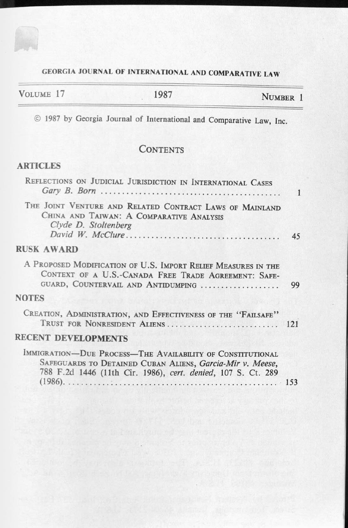## GEORGIA JOURNAL OF INTERNATIONAL AND COMPARATIVE LAW

| VOLUME 17 | 1987 | NUMBER 1 |
|-----------|------|----------|
|           |      |          |

© 1987 by Georgia Journal of International and Comparative Law, Inc.

# **CONTENTS**

### ARTICLES

| REFLECTIONS ON JUDICIAL JURISDICTION IN INTERNATIONAL CASES                                                                                                                             |    |
|-----------------------------------------------------------------------------------------------------------------------------------------------------------------------------------------|----|
| THE JOINT VENTURE AND RELATED CONTRACT LAWS OF MAINLAND<br>CHINA AND TAIWAN: A COMPARATIVE ANALYSIS<br>Clyde D. Stoltenberg                                                             | 45 |
| <b>RUSK AWARD</b>                                                                                                                                                                       |    |
| A PROPOSED MODIFICATION OF U.S. IMPORT RELIEF MEASURES IN THE<br>CONTEXT OF A U.S.-CANADA FREE TRADE AGREEMENT: SAFE-<br>GUARD, COUNTERVAIL AND ANTIDUMPING                             | 99 |
| <b>NOTES</b>                                                                                                                                                                            |    |
| CREATION, ADMINISTRATION, AND EFFECTIVENESS OF THE "FAILSAFE"<br>TRUST FOR NONRESIDENT ALIENS 121                                                                                       |    |
| <b>RECENT DEVELOPMENTS</b>                                                                                                                                                              |    |
| IMMIGRATION-DUE PROCESS-THE AVAILABILITY OF CONSTITUTIONAL<br>SAFEGUARDS TO DETAINED CUBAN ALIENS, Garcia-Mir v. Meese,<br>788 F.2d 1446 (11th Cir. 1986), cert. denied, 107 S. Ct. 289 |    |
|                                                                                                                                                                                         |    |